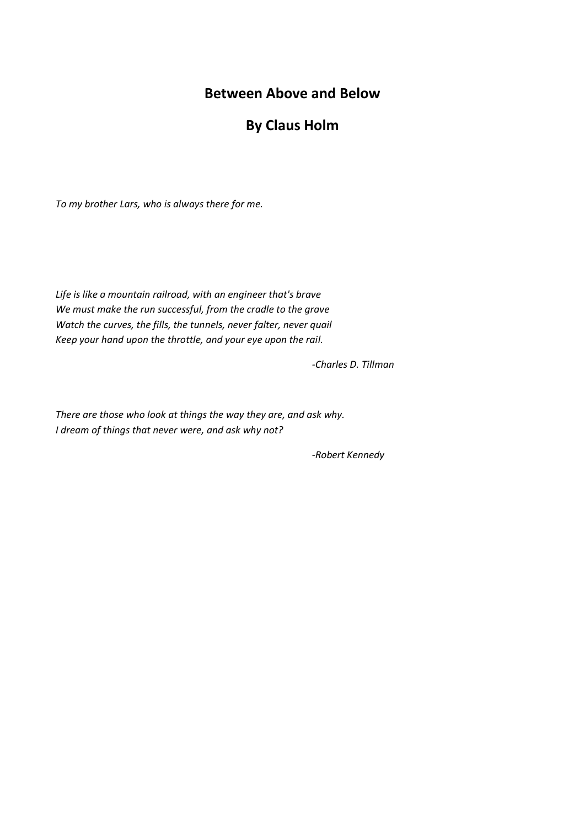# **Between Above and Below**

## **By Claus Holm**

*To my brother Lars, who is always there for me.* 

*Life is like a mountain railroad, with an engineer that's brave We must make the run successful, from the cradle to the grave Watch the curves, the fills, the tunnels, never falter, never quail Keep your hand upon the throttle, and your eye upon the rail.*

*-Charles D. Tillman*

*There are those who look at things the way they are, and ask why. I dream of things that never were, and ask why not?*

*-Robert Kennedy*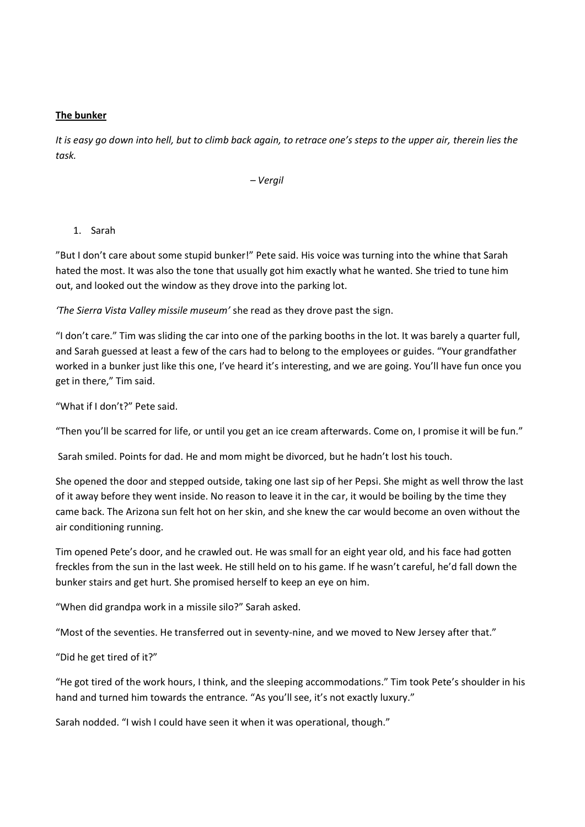#### **The bunker**

*It is easy go down into hell, but to climb back again, to retrace one's steps to the upper air, therein lies the task.* 

*– Vergil*

### 1. Sarah

"But I don't care about some stupid bunker!" Pete said. His voice was turning into the whine that Sarah hated the most. It was also the tone that usually got him exactly what he wanted. She tried to tune him out, and looked out the window as they drove into the parking lot.

*'The Sierra Vista Valley missile museum'* she read as they drove past the sign.

"I don't care." Tim was sliding the car into one of the parking booths in the lot. It was barely a quarter full, and Sarah guessed at least a few of the cars had to belong to the employees or guides. "Your grandfather worked in a bunker just like this one, I've heard it's interesting, and we are going. You'll have fun once you get in there," Tim said.

"What if I don't?" Pete said.

"Then you'll be scarred for life, or until you get an ice cream afterwards. Come on, I promise it will be fun."

Sarah smiled. Points for dad. He and mom might be divorced, but he hadn't lost his touch.

She opened the door and stepped outside, taking one last sip of her Pepsi. She might as well throw the last of it away before they went inside. No reason to leave it in the car, it would be boiling by the time they came back. The Arizona sun felt hot on her skin, and she knew the car would become an oven without the air conditioning running.

Tim opened Pete's door, and he crawled out. He was small for an eight year old, and his face had gotten freckles from the sun in the last week. He still held on to his game. If he wasn't careful, he'd fall down the bunker stairs and get hurt. She promised herself to keep an eye on him.

"When did grandpa work in a missile silo?" Sarah asked.

"Most of the seventies. He transferred out in seventy-nine, and we moved to New Jersey after that."

"Did he get tired of it?"

"He got tired of the work hours, I think, and the sleeping accommodations." Tim took Pete's shoulder in his hand and turned him towards the entrance. "As you'll see, it's not exactly luxury."

Sarah nodded. "I wish I could have seen it when it was operational, though."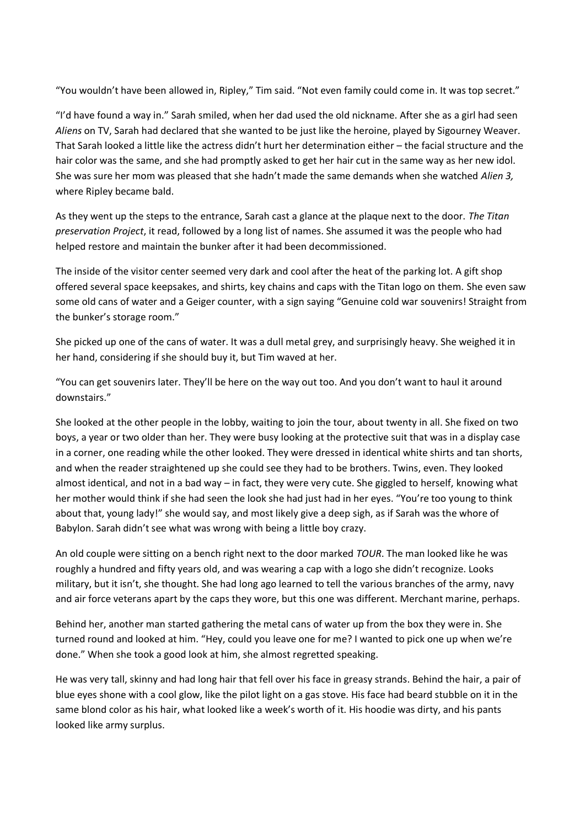"You wouldn't have been allowed in, Ripley," Tim said. "Not even family could come in. It was top secret."

"I'd have found a way in." Sarah smiled, when her dad used the old nickname. After she as a girl had seen *Aliens* on TV, Sarah had declared that she wanted to be just like the heroine, played by Sigourney Weaver. That Sarah looked a little like the actress didn't hurt her determination either – the facial structure and the hair color was the same, and she had promptly asked to get her hair cut in the same way as her new idol. She was sure her mom was pleased that she hadn't made the same demands when she watched *Alien 3,* where Ripley became bald.

As they went up the steps to the entrance, Sarah cast a glance at the plaque next to the door. *The Titan preservation Project*, it read, followed by a long list of names. She assumed it was the people who had helped restore and maintain the bunker after it had been decommissioned.

The inside of the visitor center seemed very dark and cool after the heat of the parking lot. A gift shop offered several space keepsakes, and shirts, key chains and caps with the Titan logo on them. She even saw some old cans of water and a Geiger counter, with a sign saying "Genuine cold war souvenirs! Straight from the bunker's storage room."

She picked up one of the cans of water. It was a dull metal grey, and surprisingly heavy. She weighed it in her hand, considering if she should buy it, but Tim waved at her.

"You can get souvenirs later. They'll be here on the way out too. And you don't want to haul it around downstairs."

She looked at the other people in the lobby, waiting to join the tour, about twenty in all. She fixed on two boys, a year or two older than her. They were busy looking at the protective suit that was in a display case in a corner, one reading while the other looked. They were dressed in identical white shirts and tan shorts, and when the reader straightened up she could see they had to be brothers. Twins, even. They looked almost identical, and not in a bad way – in fact, they were very cute. She giggled to herself, knowing what her mother would think if she had seen the look she had just had in her eyes. "You're too young to think about that, young lady!" she would say, and most likely give a deep sigh, as if Sarah was the whore of Babylon. Sarah didn't see what was wrong with being a little boy crazy.

An old couple were sitting on a bench right next to the door marked *TOUR*. The man looked like he was roughly a hundred and fifty years old, and was wearing a cap with a logo she didn't recognize. Looks military, but it isn't, she thought. She had long ago learned to tell the various branches of the army, navy and air force veterans apart by the caps they wore, but this one was different. Merchant marine, perhaps.

Behind her, another man started gathering the metal cans of water up from the box they were in. She turned round and looked at him. "Hey, could you leave one for me? I wanted to pick one up when we're done." When she took a good look at him, she almost regretted speaking.

He was very tall, skinny and had long hair that fell over his face in greasy strands. Behind the hair, a pair of blue eyes shone with a cool glow, like the pilot light on a gas stove. His face had beard stubble on it in the same blond color as his hair, what looked like a week's worth of it. His hoodie was dirty, and his pants looked like army surplus.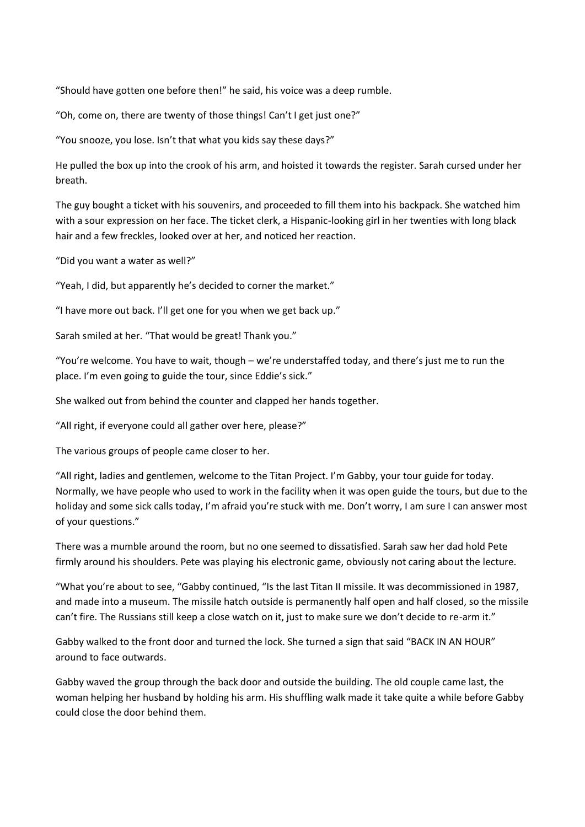"Should have gotten one before then!" he said, his voice was a deep rumble.

"Oh, come on, there are twenty of those things! Can't I get just one?"

"You snooze, you lose. Isn't that what you kids say these days?"

He pulled the box up into the crook of his arm, and hoisted it towards the register. Sarah cursed under her breath.

The guy bought a ticket with his souvenirs, and proceeded to fill them into his backpack. She watched him with a sour expression on her face. The ticket clerk, a Hispanic-looking girl in her twenties with long black hair and a few freckles, looked over at her, and noticed her reaction.

"Did you want a water as well?"

"Yeah, I did, but apparently he's decided to corner the market."

"I have more out back. I'll get one for you when we get back up."

Sarah smiled at her. "That would be great! Thank you."

"You're welcome. You have to wait, though – we're understaffed today, and there's just me to run the place. I'm even going to guide the tour, since Eddie's sick."

She walked out from behind the counter and clapped her hands together.

"All right, if everyone could all gather over here, please?"

The various groups of people came closer to her.

"All right, ladies and gentlemen, welcome to the Titan Project. I'm Gabby, your tour guide for today. Normally, we have people who used to work in the facility when it was open guide the tours, but due to the holiday and some sick calls today, I'm afraid you're stuck with me. Don't worry, I am sure I can answer most of your questions."

There was a mumble around the room, but no one seemed to dissatisfied. Sarah saw her dad hold Pete firmly around his shoulders. Pete was playing his electronic game, obviously not caring about the lecture.

"What you're about to see, "Gabby continued, "Is the last Titan II missile. It was decommissioned in 1987, and made into a museum. The missile hatch outside is permanently half open and half closed, so the missile can't fire. The Russians still keep a close watch on it, just to make sure we don't decide to re-arm it."

Gabby walked to the front door and turned the lock. She turned a sign that said "BACK IN AN HOUR" around to face outwards.

Gabby waved the group through the back door and outside the building. The old couple came last, the woman helping her husband by holding his arm. His shuffling walk made it take quite a while before Gabby could close the door behind them.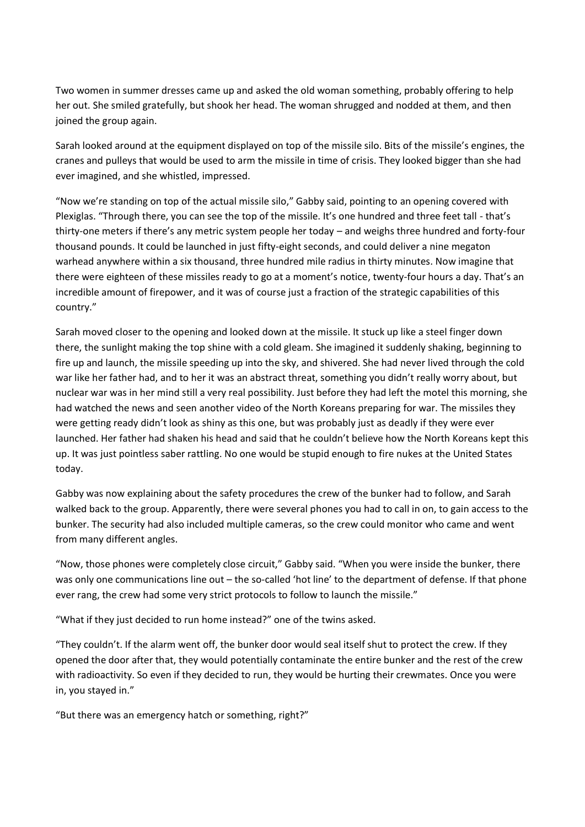Two women in summer dresses came up and asked the old woman something, probably offering to help her out. She smiled gratefully, but shook her head. The woman shrugged and nodded at them, and then joined the group again.

Sarah looked around at the equipment displayed on top of the missile silo. Bits of the missile's engines, the cranes and pulleys that would be used to arm the missile in time of crisis. They looked bigger than she had ever imagined, and she whistled, impressed.

"Now we're standing on top of the actual missile silo," Gabby said, pointing to an opening covered with Plexiglas. "Through there, you can see the top of the missile. It's one hundred and three feet tall - that's thirty-one meters if there's any metric system people her today – and weighs three hundred and forty-four thousand pounds. It could be launched in just fifty-eight seconds, and could deliver a nine megaton warhead anywhere within a six thousand, three hundred mile radius in thirty minutes. Now imagine that there were eighteen of these missiles ready to go at a moment's notice, twenty-four hours a day. That's an incredible amount of firepower, and it was of course just a fraction of the strategic capabilities of this country."

Sarah moved closer to the opening and looked down at the missile. It stuck up like a steel finger down there, the sunlight making the top shine with a cold gleam. She imagined it suddenly shaking, beginning to fire up and launch, the missile speeding up into the sky, and shivered. She had never lived through the cold war like her father had, and to her it was an abstract threat, something you didn't really worry about, but nuclear war was in her mind still a very real possibility. Just before they had left the motel this morning, she had watched the news and seen another video of the North Koreans preparing for war. The missiles they were getting ready didn't look as shiny as this one, but was probably just as deadly if they were ever launched. Her father had shaken his head and said that he couldn't believe how the North Koreans kept this up. It was just pointless saber rattling. No one would be stupid enough to fire nukes at the United States today.

Gabby was now explaining about the safety procedures the crew of the bunker had to follow, and Sarah walked back to the group. Apparently, there were several phones you had to call in on, to gain access to the bunker. The security had also included multiple cameras, so the crew could monitor who came and went from many different angles.

"Now, those phones were completely close circuit," Gabby said. "When you were inside the bunker, there was only one communications line out – the so-called 'hot line' to the department of defense. If that phone ever rang, the crew had some very strict protocols to follow to launch the missile."

"What if they just decided to run home instead?" one of the twins asked.

"They couldn't. If the alarm went off, the bunker door would seal itself shut to protect the crew. If they opened the door after that, they would potentially contaminate the entire bunker and the rest of the crew with radioactivity. So even if they decided to run, they would be hurting their crewmates. Once you were in, you stayed in."

"But there was an emergency hatch or something, right?"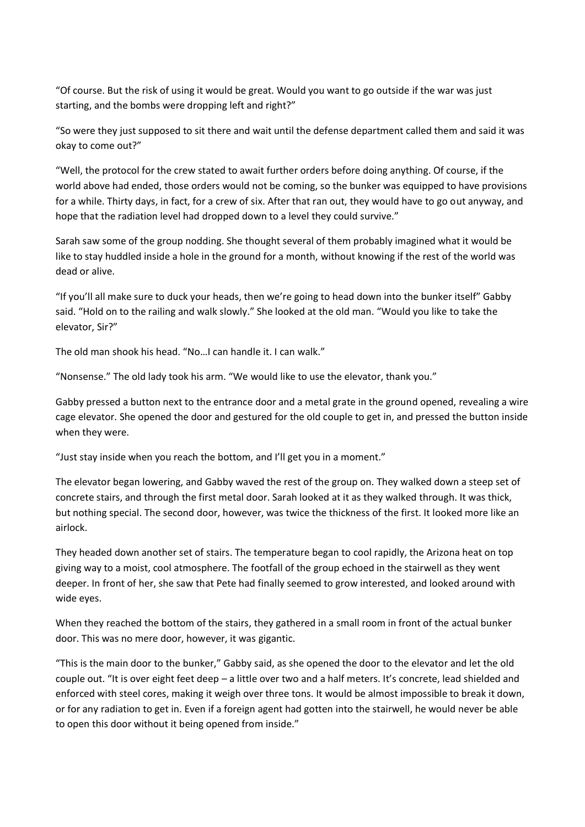"Of course. But the risk of using it would be great. Would you want to go outside if the war was just starting, and the bombs were dropping left and right?"

"So were they just supposed to sit there and wait until the defense department called them and said it was okay to come out?"

"Well, the protocol for the crew stated to await further orders before doing anything. Of course, if the world above had ended, those orders would not be coming, so the bunker was equipped to have provisions for a while. Thirty days, in fact, for a crew of six. After that ran out, they would have to go out anyway, and hope that the radiation level had dropped down to a level they could survive."

Sarah saw some of the group nodding. She thought several of them probably imagined what it would be like to stay huddled inside a hole in the ground for a month, without knowing if the rest of the world was dead or alive.

"If you'll all make sure to duck your heads, then we're going to head down into the bunker itself" Gabby said. "Hold on to the railing and walk slowly." She looked at the old man. "Would you like to take the elevator, Sir?"

The old man shook his head. "No…I can handle it. I can walk."

"Nonsense." The old lady took his arm. "We would like to use the elevator, thank you."

Gabby pressed a button next to the entrance door and a metal grate in the ground opened, revealing a wire cage elevator. She opened the door and gestured for the old couple to get in, and pressed the button inside when they were.

"Just stay inside when you reach the bottom, and I'll get you in a moment."

The elevator began lowering, and Gabby waved the rest of the group on. They walked down a steep set of concrete stairs, and through the first metal door. Sarah looked at it as they walked through. It was thick, but nothing special. The second door, however, was twice the thickness of the first. It looked more like an airlock.

They headed down another set of stairs. The temperature began to cool rapidly, the Arizona heat on top giving way to a moist, cool atmosphere. The footfall of the group echoed in the stairwell as they went deeper. In front of her, she saw that Pete had finally seemed to grow interested, and looked around with wide eyes.

When they reached the bottom of the stairs, they gathered in a small room in front of the actual bunker door. This was no mere door, however, it was gigantic.

"This is the main door to the bunker," Gabby said, as she opened the door to the elevator and let the old couple out. "It is over eight feet deep – a little over two and a half meters. It's concrete, lead shielded and enforced with steel cores, making it weigh over three tons. It would be almost impossible to break it down, or for any radiation to get in. Even if a foreign agent had gotten into the stairwell, he would never be able to open this door without it being opened from inside."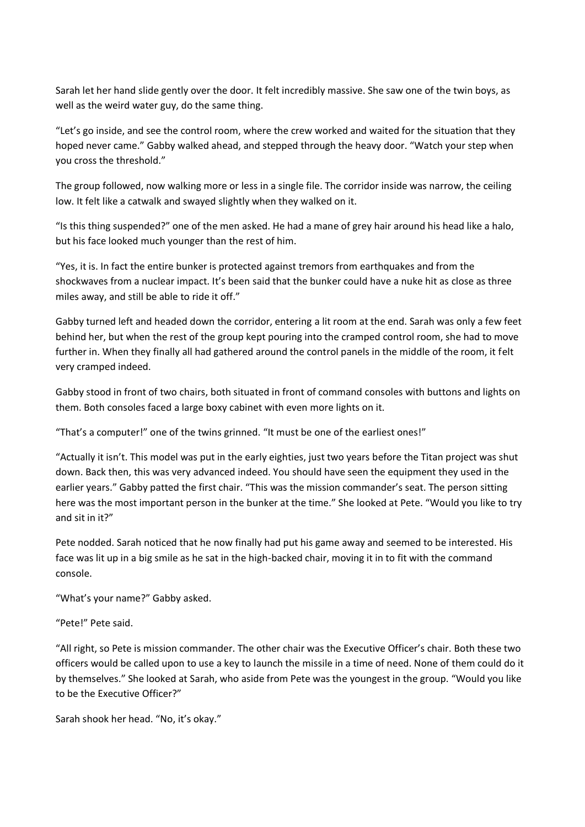Sarah let her hand slide gently over the door. It felt incredibly massive. She saw one of the twin boys, as well as the weird water guy, do the same thing.

"Let's go inside, and see the control room, where the crew worked and waited for the situation that they hoped never came." Gabby walked ahead, and stepped through the heavy door. "Watch your step when you cross the threshold."

The group followed, now walking more or less in a single file. The corridor inside was narrow, the ceiling low. It felt like a catwalk and swayed slightly when they walked on it.

"Is this thing suspended?" one of the men asked. He had a mane of grey hair around his head like a halo, but his face looked much younger than the rest of him.

"Yes, it is. In fact the entire bunker is protected against tremors from earthquakes and from the shockwaves from a nuclear impact. It's been said that the bunker could have a nuke hit as close as three miles away, and still be able to ride it off."

Gabby turned left and headed down the corridor, entering a lit room at the end. Sarah was only a few feet behind her, but when the rest of the group kept pouring into the cramped control room, she had to move further in. When they finally all had gathered around the control panels in the middle of the room, it felt very cramped indeed.

Gabby stood in front of two chairs, both situated in front of command consoles with buttons and lights on them. Both consoles faced a large boxy cabinet with even more lights on it.

"That's a computer!" one of the twins grinned. "It must be one of the earliest ones!"

"Actually it isn't. This model was put in the early eighties, just two years before the Titan project was shut down. Back then, this was very advanced indeed. You should have seen the equipment they used in the earlier years." Gabby patted the first chair. "This was the mission commander's seat. The person sitting here was the most important person in the bunker at the time." She looked at Pete. "Would you like to try and sit in it?"

Pete nodded. Sarah noticed that he now finally had put his game away and seemed to be interested. His face was lit up in a big smile as he sat in the high-backed chair, moving it in to fit with the command console.

"What's your name?" Gabby asked.

"Pete!" Pete said.

"All right, so Pete is mission commander. The other chair was the Executive Officer's chair. Both these two officers would be called upon to use a key to launch the missile in a time of need. None of them could do it by themselves." She looked at Sarah, who aside from Pete was the youngest in the group. "Would you like to be the Executive Officer?"

Sarah shook her head. "No, it's okay."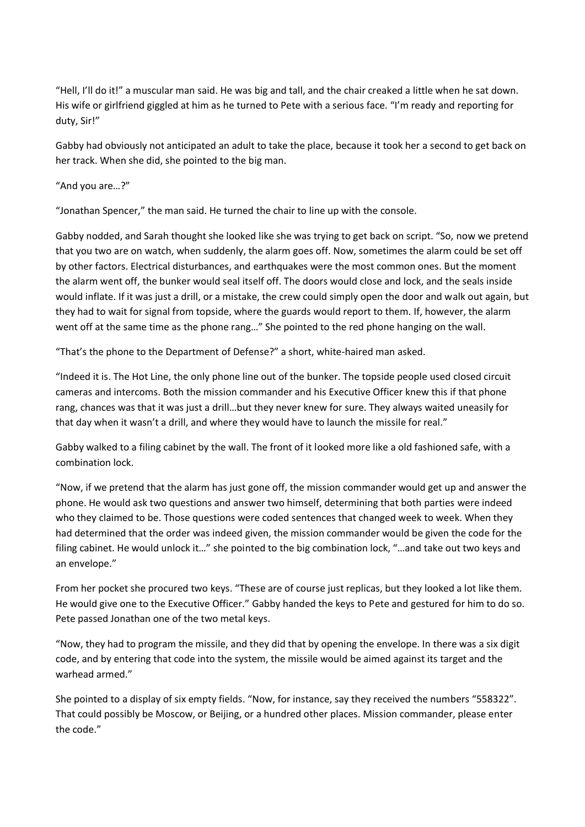"Hell, I'll do it!" a muscular man said. He was big and tall, and the chair creaked a little when he sat down. His wife or girlfriend giggled at him as he turned to Pete with a serious face. "I'm ready and reporting for duty, Sir!"

Gabby had obviously not anticipated an adult to take the place, because it took her a second to get back on her track. When she did, she pointed to the big man.

"And you are…?"

"Jonathan Spencer," the man said. He turned the chair to line up with the console.

Gabby nodded, and Sarah thought she looked like she was trying to get back on script. "So, now we pretend that you two are on watch, when suddenly, the alarm goes off. Now, sometimes the alarm could be set off by other factors. Electrical disturbances, and earthquakes were the most common ones. But the moment the alarm went off, the bunker would seal itself off. The doors would close and lock, and the seals inside would inflate. If it was just a drill, or a mistake, the crew could simply open the door and walk out again, but they had to wait for signal from topside, where the guards would report to them. If, however, the alarm went off at the same time as the phone rang…" She pointed to the red phone hanging on the wall.

"That's the phone to the Department of Defense?" a short, white-haired man asked.

"Indeed it is. The Hot Line, the only phone line out of the bunker. The topside people used closed circuit cameras and intercoms. Both the mission commander and his Executive Officer knew this if that phone rang, chances was that it was just a drill…but they never knew for sure. They always waited uneasily for that day when it wasn't a drill, and where they would have to launch the missile for real."

Gabby walked to a filing cabinet by the wall. The front of it looked more like a old fashioned safe, with a combination lock.

"Now, if we pretend that the alarm has just gone off, the mission commander would get up and answer the phone. He would ask two questions and answer two himself, determining that both parties were indeed who they claimed to be. Those questions were coded sentences that changed week to week. When they had determined that the order was indeed given, the mission commander would be given the code for the filing cabinet. He would unlock it…" she pointed to the big combination lock, "…and take out two keys and an envelope."

From her pocket she procured two keys. "These are of course just replicas, but they looked a lot like them. He would give one to the Executive Officer." Gabby handed the keys to Pete and gestured for him to do so. Pete passed Jonathan one of the two metal keys.

"Now, they had to program the missile, and they did that by opening the envelope. In there was a six digit code, and by entering that code into the system, the missile would be aimed against its target and the warhead armed."

She pointed to a display of six empty fields. "Now, for instance, say they received the numbers "558322". That could possibly be Moscow, or Beijing, or a hundred other places. Mission commander, please enter the code."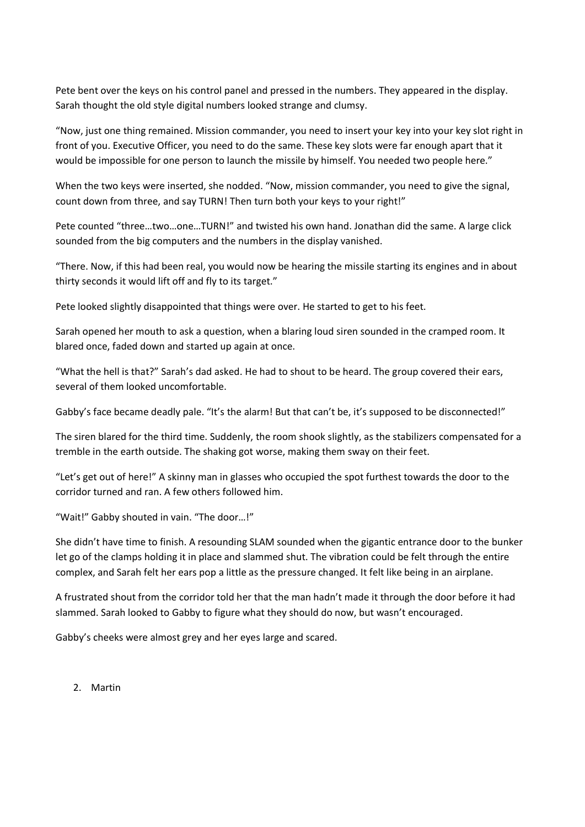Pete bent over the keys on his control panel and pressed in the numbers. They appeared in the display. Sarah thought the old style digital numbers looked strange and clumsy.

"Now, just one thing remained. Mission commander, you need to insert your key into your key slot right in front of you. Executive Officer, you need to do the same. These key slots were far enough apart that it would be impossible for one person to launch the missile by himself. You needed two people here."

When the two keys were inserted, she nodded. "Now, mission commander, you need to give the signal, count down from three, and say TURN! Then turn both your keys to your right!"

Pete counted "three…two…one…TURN!" and twisted his own hand. Jonathan did the same. A large click sounded from the big computers and the numbers in the display vanished.

"There. Now, if this had been real, you would now be hearing the missile starting its engines and in about thirty seconds it would lift off and fly to its target."

Pete looked slightly disappointed that things were over. He started to get to his feet.

Sarah opened her mouth to ask a question, when a blaring loud siren sounded in the cramped room. It blared once, faded down and started up again at once.

"What the hell is that?" Sarah's dad asked. He had to shout to be heard. The group covered their ears, several of them looked uncomfortable.

Gabby's face became deadly pale. "It's the alarm! But that can't be, it's supposed to be disconnected!"

The siren blared for the third time. Suddenly, the room shook slightly, as the stabilizers compensated for a tremble in the earth outside. The shaking got worse, making them sway on their feet.

"Let's get out of here!" A skinny man in glasses who occupied the spot furthest towards the door to the corridor turned and ran. A few others followed him.

"Wait!" Gabby shouted in vain. "The door…!"

She didn't have time to finish. A resounding SLAM sounded when the gigantic entrance door to the bunker let go of the clamps holding it in place and slammed shut. The vibration could be felt through the entire complex, and Sarah felt her ears pop a little as the pressure changed. It felt like being in an airplane.

A frustrated shout from the corridor told her that the man hadn't made it through the door before it had slammed. Sarah looked to Gabby to figure what they should do now, but wasn't encouraged.

Gabby's cheeks were almost grey and her eyes large and scared.

2. Martin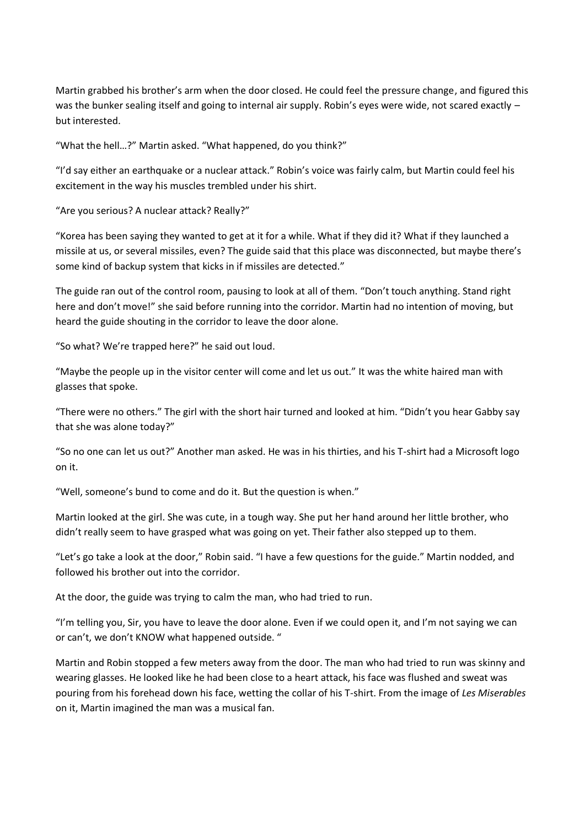Martin grabbed his brother's arm when the door closed. He could feel the pressure change, and figured this was the bunker sealing itself and going to internal air supply. Robin's eyes were wide, not scared exactly but interested.

"What the hell…?" Martin asked. "What happened, do you think?"

"I'd say either an earthquake or a nuclear attack." Robin's voice was fairly calm, but Martin could feel his excitement in the way his muscles trembled under his shirt.

"Are you serious? A nuclear attack? Really?"

"Korea has been saying they wanted to get at it for a while. What if they did it? What if they launched a missile at us, or several missiles, even? The guide said that this place was disconnected, but maybe there's some kind of backup system that kicks in if missiles are detected."

The guide ran out of the control room, pausing to look at all of them. "Don't touch anything. Stand right here and don't move!" she said before running into the corridor. Martin had no intention of moving, but heard the guide shouting in the corridor to leave the door alone.

"So what? We're trapped here?" he said out loud.

"Maybe the people up in the visitor center will come and let us out." It was the white haired man with glasses that spoke.

"There were no others." The girl with the short hair turned and looked at him. "Didn't you hear Gabby say that she was alone today?"

"So no one can let us out?" Another man asked. He was in his thirties, and his T-shirt had a Microsoft logo on it.

"Well, someone's bund to come and do it. But the question is when."

Martin looked at the girl. She was cute, in a tough way. She put her hand around her little brother, who didn't really seem to have grasped what was going on yet. Their father also stepped up to them.

"Let's go take a look at the door," Robin said. "I have a few questions for the guide." Martin nodded, and followed his brother out into the corridor.

At the door, the guide was trying to calm the man, who had tried to run.

"I'm telling you, Sir, you have to leave the door alone. Even if we could open it, and I'm not saying we can or can't, we don't KNOW what happened outside. "

Martin and Robin stopped a few meters away from the door. The man who had tried to run was skinny and wearing glasses. He looked like he had been close to a heart attack, his face was flushed and sweat was pouring from his forehead down his face, wetting the collar of his T-shirt. From the image of *Les Miserables* on it, Martin imagined the man was a musical fan.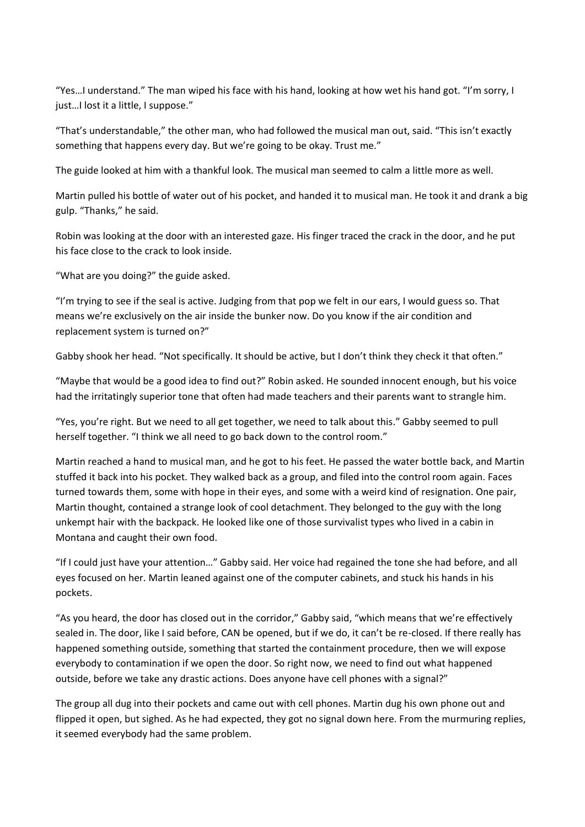"Yes…I understand." The man wiped his face with his hand, looking at how wet his hand got. "I'm sorry, I just...I lost it a little, I suppose."

"That's understandable," the other man, who had followed the musical man out, said. "This isn't exactly something that happens every day. But we're going to be okay. Trust me."

The guide looked at him with a thankful look. The musical man seemed to calm a little more as well.

Martin pulled his bottle of water out of his pocket, and handed it to musical man. He took it and drank a big gulp. "Thanks," he said.

Robin was looking at the door with an interested gaze. His finger traced the crack in the door, and he put his face close to the crack to look inside.

"What are you doing?" the guide asked.

"I'm trying to see if the seal is active. Judging from that pop we felt in our ears, I would guess so. That means we're exclusively on the air inside the bunker now. Do you know if the air condition and replacement system is turned on?"

Gabby shook her head. "Not specifically. It should be active, but I don't think they check it that often."

"Maybe that would be a good idea to find out?" Robin asked. He sounded innocent enough, but his voice had the irritatingly superior tone that often had made teachers and their parents want to strangle him.

"Yes, you're right. But we need to all get together, we need to talk about this." Gabby seemed to pull herself together. "I think we all need to go back down to the control room."

Martin reached a hand to musical man, and he got to his feet. He passed the water bottle back, and Martin stuffed it back into his pocket. They walked back as a group, and filed into the control room again. Faces turned towards them, some with hope in their eyes, and some with a weird kind of resignation. One pair, Martin thought, contained a strange look of cool detachment. They belonged to the guy with the long unkempt hair with the backpack. He looked like one of those survivalist types who lived in a cabin in Montana and caught their own food.

"If I could just have your attention…" Gabby said. Her voice had regained the tone she had before, and all eyes focused on her. Martin leaned against one of the computer cabinets, and stuck his hands in his pockets.

"As you heard, the door has closed out in the corridor," Gabby said, "which means that we're effectively sealed in. The door, like I said before, CAN be opened, but if we do, it can't be re-closed. If there really has happened something outside, something that started the containment procedure, then we will expose everybody to contamination if we open the door. So right now, we need to find out what happened outside, before we take any drastic actions. Does anyone have cell phones with a signal?"

The group all dug into their pockets and came out with cell phones. Martin dug his own phone out and flipped it open, but sighed. As he had expected, they got no signal down here. From the murmuring replies, it seemed everybody had the same problem.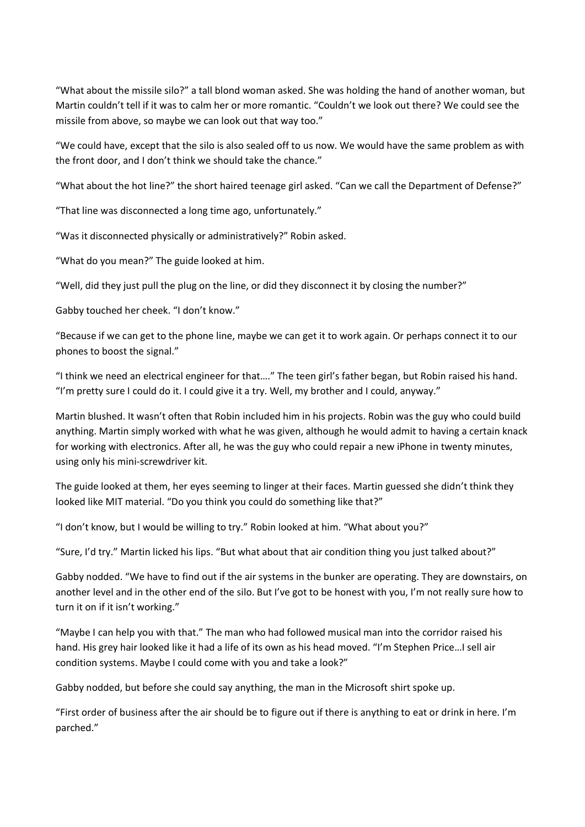"What about the missile silo?" a tall blond woman asked. She was holding the hand of another woman, but Martin couldn't tell if it was to calm her or more romantic. "Couldn't we look out there? We could see the missile from above, so maybe we can look out that way too."

"We could have, except that the silo is also sealed off to us now. We would have the same problem as with the front door, and I don't think we should take the chance."

"What about the hot line?" the short haired teenage girl asked. "Can we call the Department of Defense?"

"That line was disconnected a long time ago, unfortunately."

"Was it disconnected physically or administratively?" Robin asked.

"What do you mean?" The guide looked at him.

"Well, did they just pull the plug on the line, or did they disconnect it by closing the number?"

Gabby touched her cheek. "I don't know."

"Because if we can get to the phone line, maybe we can get it to work again. Or perhaps connect it to our phones to boost the signal."

"I think we need an electrical engineer for that…." The teen girl's father began, but Robin raised his hand. "I'm pretty sure I could do it. I could give it a try. Well, my brother and I could, anyway."

Martin blushed. It wasn't often that Robin included him in his projects. Robin was the guy who could build anything. Martin simply worked with what he was given, although he would admit to having a certain knack for working with electronics. After all, he was the guy who could repair a new iPhone in twenty minutes, using only his mini-screwdriver kit.

The guide looked at them, her eyes seeming to linger at their faces. Martin guessed she didn't think they looked like MIT material. "Do you think you could do something like that?"

"I don't know, but I would be willing to try." Robin looked at him. "What about you?"

"Sure, I'd try." Martin licked his lips. "But what about that air condition thing you just talked about?"

Gabby nodded. "We have to find out if the air systems in the bunker are operating. They are downstairs, on another level and in the other end of the silo. But I've got to be honest with you, I'm not really sure how to turn it on if it isn't working."

"Maybe I can help you with that." The man who had followed musical man into the corridor raised his hand. His grey hair looked like it had a life of its own as his head moved. "I'm Stephen Price…I sell air condition systems. Maybe I could come with you and take a look?"

Gabby nodded, but before she could say anything, the man in the Microsoft shirt spoke up.

"First order of business after the air should be to figure out if there is anything to eat or drink in here. I'm parched."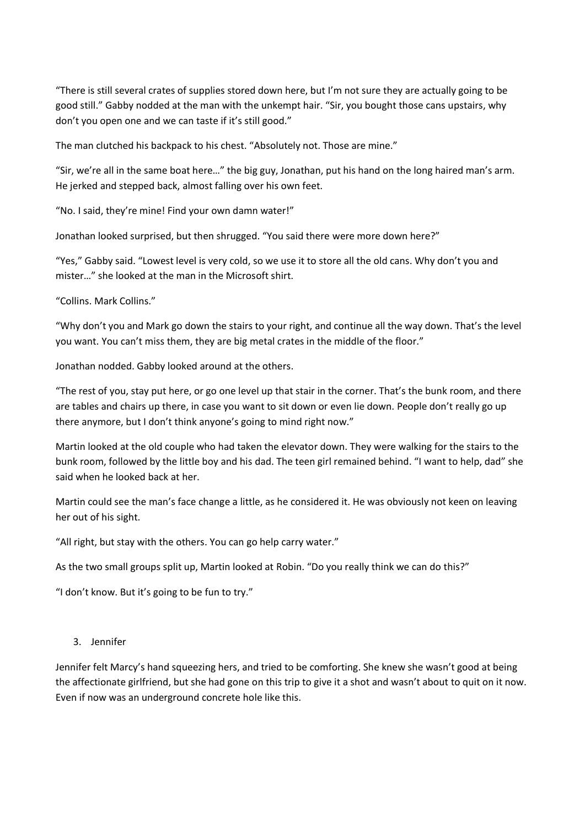"There is still several crates of supplies stored down here, but I'm not sure they are actually going to be good still." Gabby nodded at the man with the unkempt hair. "Sir, you bought those cans upstairs, why don't you open one and we can taste if it's still good."

The man clutched his backpack to his chest. "Absolutely not. Those are mine."

"Sir, we're all in the same boat here…" the big guy, Jonathan, put his hand on the long haired man's arm. He jerked and stepped back, almost falling over his own feet.

"No. I said, they're mine! Find your own damn water!"

Jonathan looked surprised, but then shrugged. "You said there were more down here?"

"Yes," Gabby said. "Lowest level is very cold, so we use it to store all the old cans. Why don't you and mister…" she looked at the man in the Microsoft shirt.

"Collins. Mark Collins."

"Why don't you and Mark go down the stairs to your right, and continue all the way down. That's the level you want. You can't miss them, they are big metal crates in the middle of the floor."

Jonathan nodded. Gabby looked around at the others.

"The rest of you, stay put here, or go one level up that stair in the corner. That's the bunk room, and there are tables and chairs up there, in case you want to sit down or even lie down. People don't really go up there anymore, but I don't think anyone's going to mind right now."

Martin looked at the old couple who had taken the elevator down. They were walking for the stairs to the bunk room, followed by the little boy and his dad. The teen girl remained behind. "I want to help, dad" she said when he looked back at her.

Martin could see the man's face change a little, as he considered it. He was obviously not keen on leaving her out of his sight.

"All right, but stay with the others. You can go help carry water."

As the two small groups split up, Martin looked at Robin. "Do you really think we can do this?"

"I don't know. But it's going to be fun to try."

#### 3. Jennifer

Jennifer felt Marcy's hand squeezing hers, and tried to be comforting. She knew she wasn't good at being the affectionate girlfriend, but she had gone on this trip to give it a shot and wasn't about to quit on it now. Even if now was an underground concrete hole like this.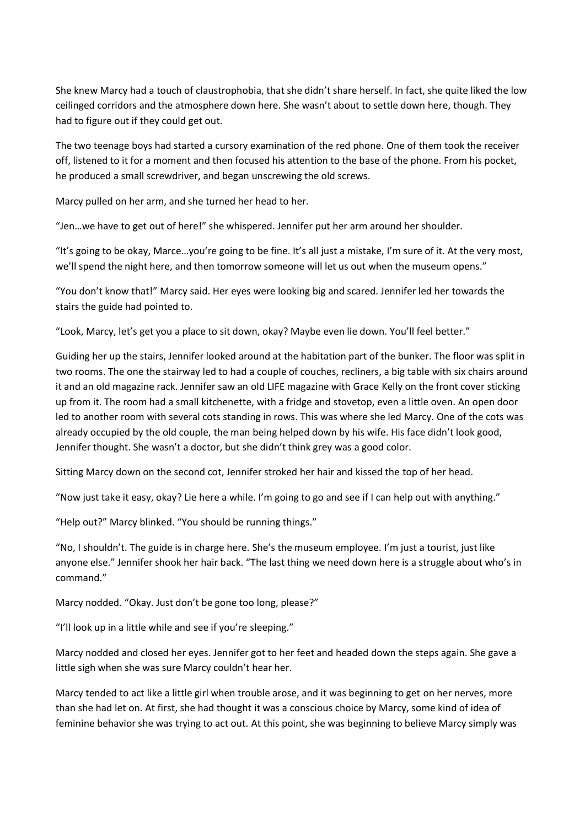She knew Marcy had a touch of claustrophobia, that she didn't share herself. In fact, she quite liked the low ceilinged corridors and the atmosphere down here. She wasn't about to settle down here, though. They had to figure out if they could get out.

The two teenage boys had started a cursory examination of the red phone. One of them took the receiver off, listened to it for a moment and then focused his attention to the base of the phone. From his pocket, he produced a small screwdriver, and began unscrewing the old screws.

Marcy pulled on her arm, and she turned her head to her.

"Jen…we have to get out of here!" she whispered. Jennifer put her arm around her shoulder.

"It's going to be okay, Marce…you're going to be fine. It's all just a mistake, I'm sure of it. At the very most, we'll spend the night here, and then tomorrow someone will let us out when the museum opens."

"You don't know that!" Marcy said. Her eyes were looking big and scared. Jennifer led her towards the stairs the guide had pointed to.

"Look, Marcy, let's get you a place to sit down, okay? Maybe even lie down. You'll feel better."

Guiding her up the stairs, Jennifer looked around at the habitation part of the bunker. The floor was split in two rooms. The one the stairway led to had a couple of couches, recliners, a big table with six chairs around it and an old magazine rack. Jennifer saw an old LIFE magazine with Grace Kelly on the front cover sticking up from it. The room had a small kitchenette, with a fridge and stovetop, even a little oven. An open door led to another room with several cots standing in rows. This was where she led Marcy. One of the cots was already occupied by the old couple, the man being helped down by his wife. His face didn't look good, Jennifer thought. She wasn't a doctor, but she didn't think grey was a good color.

Sitting Marcy down on the second cot, Jennifer stroked her hair and kissed the top of her head.

"Now just take it easy, okay? Lie here a while. I'm going to go and see if I can help out with anything."

"Help out?" Marcy blinked. "You should be running things."

"No, I shouldn't. The guide is in charge here. She's the museum employee. I'm just a tourist, just like anyone else." Jennifer shook her hair back. "The last thing we need down here is a struggle about who's in command."

Marcy nodded. "Okay. Just don't be gone too long, please?"

"I'll look up in a little while and see if you're sleeping."

Marcy nodded and closed her eyes. Jennifer got to her feet and headed down the steps again. She gave a little sigh when she was sure Marcy couldn't hear her.

Marcy tended to act like a little girl when trouble arose, and it was beginning to get on her nerves, more than she had let on. At first, she had thought it was a conscious choice by Marcy, some kind of idea of feminine behavior she was trying to act out. At this point, she was beginning to believe Marcy simply was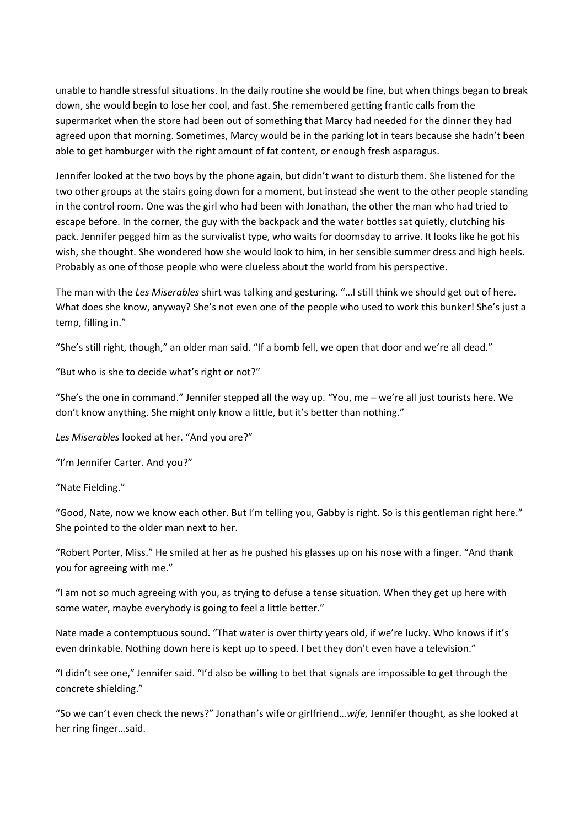unable to handle stressful situations. In the daily routine she would be fine, but when things began to break down, she would begin to lose her cool, and fast. She remembered getting frantic calls from the supermarket when the store had been out of something that Marcy had needed for the dinner they had agreed upon that morning. Sometimes, Marcy would be in the parking lot in tears because she hadn't been able to get hamburger with the right amount of fat content, or enough fresh asparagus.

Jennifer looked at the two boys by the phone again, but didn't want to disturb them. She listened for the two other groups at the stairs going down for a moment, but instead she went to the other people standing in the control room. One was the girl who had been with Jonathan, the other the man who had tried to escape before. In the corner, the guy with the backpack and the water bottles sat quietly, clutching his pack. Jennifer pegged him as the survivalist type, who waits for doomsday to arrive. It looks like he got his wish, she thought. She wondered how she would look to him, in her sensible summer dress and high heels. Probably as one of those people who were clueless about the world from his perspective.

The man with the *Les Miserables* shirt was talking and gesturing. "…I still think we should get out of here. What does she know, anyway? She's not even one of the people who used to work this bunker! She's just a temp, filling in."

"She's still right, though," an older man said. "If a bomb fell, we open that door and we're all dead."

"But who is she to decide what's right or not?"

"She's the one in command." Jennifer stepped all the way up. "You, me – we're all just tourists here. We don't know anything. She might only know a little, but it's better than nothing."

*Les Miserables* looked at her. "And you are?"

"I'm Jennifer Carter. And you?"

"Nate Fielding."

"Good, Nate, now we know each other. But I'm telling you, Gabby is right. So is this gentleman right here." She pointed to the older man next to her.

"Robert Porter, Miss." He smiled at her as he pushed his glasses up on his nose with a finger. "And thank you for agreeing with me."

"I am not so much agreeing with you, as trying to defuse a tense situation. When they get up here with some water, maybe everybody is going to feel a little better."

Nate made a contemptuous sound. "That water is over thirty years old, if we're lucky. Who knows if it's even drinkable. Nothing down here is kept up to speed. I bet they don't even have a television."

"I didn't see one," Jennifer said. "I'd also be willing to bet that signals are impossible to get through the concrete shielding."

"So we can't even check the news?" Jonathan's wife or girlfriend…*wife,* Jennifer thought, as she looked at her ring finger…said.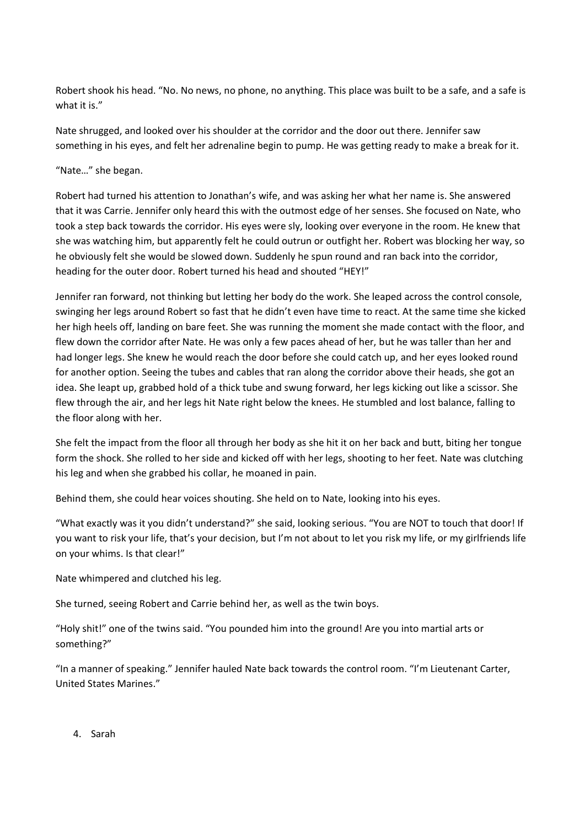Robert shook his head. "No. No news, no phone, no anything. This place was built to be a safe, and a safe is what it is."

Nate shrugged, and looked over his shoulder at the corridor and the door out there. Jennifer saw something in his eyes, and felt her adrenaline begin to pump. He was getting ready to make a break for it.

"Nate…" she began.

Robert had turned his attention to Jonathan's wife, and was asking her what her name is. She answered that it was Carrie. Jennifer only heard this with the outmost edge of her senses. She focused on Nate, who took a step back towards the corridor. His eyes were sly, looking over everyone in the room. He knew that she was watching him, but apparently felt he could outrun or outfight her. Robert was blocking her way, so he obviously felt she would be slowed down. Suddenly he spun round and ran back into the corridor, heading for the outer door. Robert turned his head and shouted "HEY!"

Jennifer ran forward, not thinking but letting her body do the work. She leaped across the control console, swinging her legs around Robert so fast that he didn't even have time to react. At the same time she kicked her high heels off, landing on bare feet. She was running the moment she made contact with the floor, and flew down the corridor after Nate. He was only a few paces ahead of her, but he was taller than her and had longer legs. She knew he would reach the door before she could catch up, and her eyes looked round for another option. Seeing the tubes and cables that ran along the corridor above their heads, she got an idea. She leapt up, grabbed hold of a thick tube and swung forward, her legs kicking out like a scissor. She flew through the air, and her legs hit Nate right below the knees. He stumbled and lost balance, falling to the floor along with her.

She felt the impact from the floor all through her body as she hit it on her back and butt, biting her tongue form the shock. She rolled to her side and kicked off with her legs, shooting to her feet. Nate was clutching his leg and when she grabbed his collar, he moaned in pain.

Behind them, she could hear voices shouting. She held on to Nate, looking into his eyes.

"What exactly was it you didn't understand?" she said, looking serious. "You are NOT to touch that door! If you want to risk your life, that's your decision, but I'm not about to let you risk my life, or my girlfriends life on your whims. Is that clear!"

Nate whimpered and clutched his leg.

She turned, seeing Robert and Carrie behind her, as well as the twin boys.

"Holy shit!" one of the twins said. "You pounded him into the ground! Are you into martial arts or something?"

"In a manner of speaking." Jennifer hauled Nate back towards the control room. "I'm Lieutenant Carter, United States Marines."

4. Sarah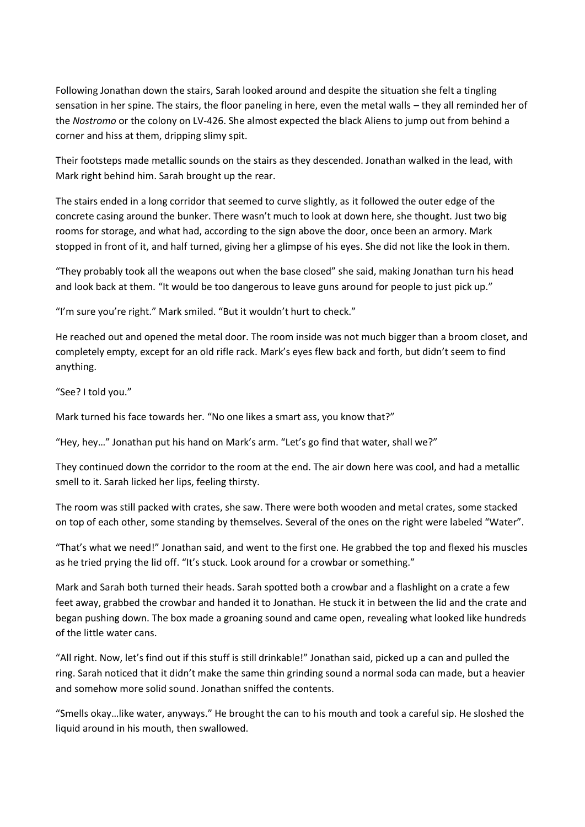Following Jonathan down the stairs, Sarah looked around and despite the situation she felt a tingling sensation in her spine. The stairs, the floor paneling in here, even the metal walls – they all reminded her of the *Nostromo* or the colony on LV-426. She almost expected the black Aliens to jump out from behind a corner and hiss at them, dripping slimy spit.

Their footsteps made metallic sounds on the stairs as they descended. Jonathan walked in the lead, with Mark right behind him. Sarah brought up the rear.

The stairs ended in a long corridor that seemed to curve slightly, as it followed the outer edge of the concrete casing around the bunker. There wasn't much to look at down here, she thought. Just two big rooms for storage, and what had, according to the sign above the door, once been an armory. Mark stopped in front of it, and half turned, giving her a glimpse of his eyes. She did not like the look in them.

"They probably took all the weapons out when the base closed" she said, making Jonathan turn his head and look back at them. "It would be too dangerous to leave guns around for people to just pick up."

"I'm sure you're right." Mark smiled. "But it wouldn't hurt to check."

He reached out and opened the metal door. The room inside was not much bigger than a broom closet, and completely empty, except for an old rifle rack. Mark's eyes flew back and forth, but didn't seem to find anything.

"See? I told you."

Mark turned his face towards her. "No one likes a smart ass, you know that?"

"Hey, hey…" Jonathan put his hand on Mark's arm. "Let's go find that water, shall we?"

They continued down the corridor to the room at the end. The air down here was cool, and had a metallic smell to it. Sarah licked her lips, feeling thirsty.

The room was still packed with crates, she saw. There were both wooden and metal crates, some stacked on top of each other, some standing by themselves. Several of the ones on the right were labeled "Water".

"That's what we need!" Jonathan said, and went to the first one. He grabbed the top and flexed his muscles as he tried prying the lid off. "It's stuck. Look around for a crowbar or something."

Mark and Sarah both turned their heads. Sarah spotted both a crowbar and a flashlight on a crate a few feet away, grabbed the crowbar and handed it to Jonathan. He stuck it in between the lid and the crate and began pushing down. The box made a groaning sound and came open, revealing what looked like hundreds of the little water cans.

"All right. Now, let's find out if this stuff is still drinkable!" Jonathan said, picked up a can and pulled the ring. Sarah noticed that it didn't make the same thin grinding sound a normal soda can made, but a heavier and somehow more solid sound. Jonathan sniffed the contents.

"Smells okay…like water, anyways." He brought the can to his mouth and took a careful sip. He sloshed the liquid around in his mouth, then swallowed.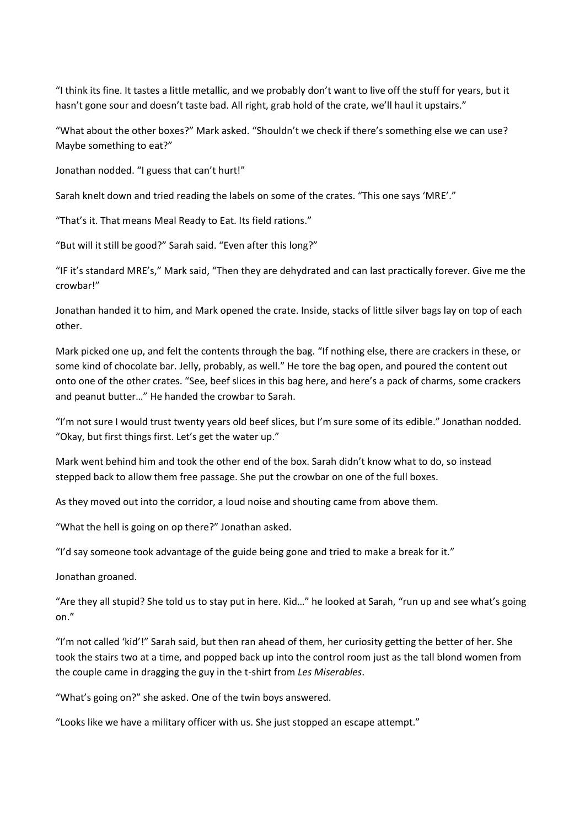"I think its fine. It tastes a little metallic, and we probably don't want to live off the stuff for years, but it hasn't gone sour and doesn't taste bad. All right, grab hold of the crate, we'll haul it upstairs."

"What about the other boxes?" Mark asked. "Shouldn't we check if there's something else we can use? Maybe something to eat?"

Jonathan nodded. "I guess that can't hurt!"

Sarah knelt down and tried reading the labels on some of the crates. "This one says 'MRE'."

"That's it. That means Meal Ready to Eat. Its field rations."

"But will it still be good?" Sarah said. "Even after this long?"

"IF it's standard MRE's," Mark said, "Then they are dehydrated and can last practically forever. Give me the crowbar!"

Jonathan handed it to him, and Mark opened the crate. Inside, stacks of little silver bags lay on top of each other.

Mark picked one up, and felt the contents through the bag. "If nothing else, there are crackers in these, or some kind of chocolate bar. Jelly, probably, as well." He tore the bag open, and poured the content out onto one of the other crates. "See, beef slices in this bag here, and here's a pack of charms, some crackers and peanut butter…" He handed the crowbar to Sarah.

"I'm not sure I would trust twenty years old beef slices, but I'm sure some of its edible." Jonathan nodded. "Okay, but first things first. Let's get the water up."

Mark went behind him and took the other end of the box. Sarah didn't know what to do, so instead stepped back to allow them free passage. She put the crowbar on one of the full boxes.

As they moved out into the corridor, a loud noise and shouting came from above them.

"What the hell is going on op there?" Jonathan asked.

"I'd say someone took advantage of the guide being gone and tried to make a break for it."

Jonathan groaned.

"Are they all stupid? She told us to stay put in here. Kid…" he looked at Sarah, "run up and see what's going on."

"I'm not called 'kid'!" Sarah said, but then ran ahead of them, her curiosity getting the better of her. She took the stairs two at a time, and popped back up into the control room just as the tall blond women from the couple came in dragging the guy in the t-shirt from *Les Miserables*.

"What's going on?" she asked. One of the twin boys answered.

"Looks like we have a military officer with us. She just stopped an escape attempt."